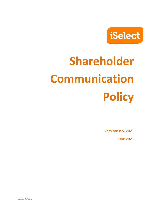

# **Shareholder Communication Policy**

**Version: v.5, 2021**

**June 2021**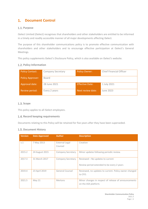#### $1.$ **Document Control**

# 1.1. Purpose

iSelect Limited (iSelect) recognises that shareholders and other stakeholders are entitled to be informed in a timely and readily accessible manner of all major developments affecting iSelect.

The purpose of this shareholder communications policy is to promote effective communication with shareholders and other stakeholders and to encourage effective participation at iSelect's General Meetings.

This policy supplements iSelect's Disclosure Policy, which is also available on iSelect's website.

# **1.2. Policy Information**

| <b>Policy Contact:</b>  | <b>Company Secretary</b> | <b>Policy Owner:</b>   | <b>Chief Financial Officer</b> |
|-------------------------|--------------------------|------------------------|--------------------------------|
| <b>Policy Approver:</b> | Board                    |                        |                                |
| Approval date:          | 28 June 2021             | <b>Effective Date:</b> | 1 July 2021                    |
| Review period:          | Every 2 years            | Next review date:      | June 2023                      |

#### **1.3. Scope**

This policy applies to all iSelect employees.

# **1.4. Record keeping requirements**

Documents relating to this Policy will be retained for five years after they have been superseded.

#### **1.5. Document History**

| <b>Version</b> | <b>Date Approved</b> | <b>Author</b>             | <b>Description</b>                                                             |
|----------------|----------------------|---------------------------|--------------------------------------------------------------------------------|
| V.1            | 7 May 2013           | External Legal<br>Counsel | Creation                                                                       |
| 2015.2         | 24 August 2015       | <b>Company Secretary</b>  | Minor updates following periodic review.                                       |
| 2017.3         | 31 March 2017        | <b>Company Secretary</b>  | Reviewed – No updates to current<br>Review period extended to be every 2 years |
| 2019.4         | 23 April 2019        | General Counsel           | Reviewed, no updates to current. Policy owner changed<br>to CFO.               |
| 2021.5         | <b>May 21</b>        | Mertons                   | Minor changes in respect of release of announcements<br>on the ASX platform.   |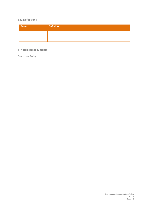# **1.6. Definitions**

| <b>Term</b> | <b>Definition</b> |
|-------------|-------------------|
|             |                   |
|             |                   |

# **1.7. Related documents**

Disclosure Policy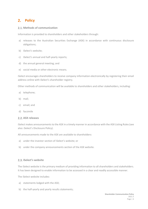# 2. **Policy**

#### **Methods of communication**

Information is provided to shareholders and other stakeholders through:

- a) releases to the Australian Securities Exchange (ASX) in accordance with continuous disclosure obligations;
- b) iSelect's website;
- c) iSelect's annual and half-yearly reports;
- d) the annual general meeting; and
- e) social media or other electronic means.

iSelect encourages shareholders to receive company information electronically by registering their email address online with iSelect's shareholder registry.

Other methods of communication will be available to shareholders and other stakeholders, including:

- a) telephone;
- b) mail;
- c) email; and
- d) facsimile

#### **ASX releases**

iSelect makes announcements to the ASX in a timely manner in accordance with the ASX Listing Rules (see also: iSelect's Disclosure Policy).

All announcements made to the ASX are available to shareholders:

- a) under the investor section of iSelect's website; or
- b) under the company announcements section of the ASX website.

#### 2.3. **iSelect's website**

The iSelect website is the primary medium of providing information to all shareholders and stakeholders. It has been designed to enable information to be accessed in a clear and readily accessible manner.

The iSelect website includes:

- a) statements lodged with the ASX;
- b) the half-yearly and yearly results statements;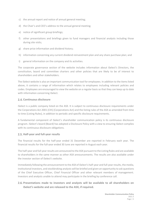- c) the annual report and notice of annual general meeting;
- d) the Chair's and CEO's address to the annual general meeting;
- e) notice of significant group briefings;
- f) other presentations and briefings given to fund managers and financial analysts including those during site visits;
- g) share price information and dividend history;
- h) information concerning any current dividend reinvestment plan and any share purchase plan; and
- i) general information on the company and its activities.

The corporate governance section of the website includes information about iSelect's Directors, the constitution, board and committee charters and other policies that are likely to be of interest to shareholders and other stakeholders.

The iSelect website is also an important communication tool for employees. In addition to the items listed above, it contains a range of information which relates to employees including relevant policies and codes. Employees are encouraged to view the website on a regular basis so that they can keep up to date with information concerning iSelect.

#### 2.4. Continuous disclosure

iSelect is a public company listed on the ASX. It is subject to continuous disclosure requirements under the Corporations Act 2001 (Cth) (Corporations Act) and the listing rules of the ASX as amended from time to time (Listing Rules), in addition to periodic and specific disclosure requirements.

A fundamental component of iSelect's shareholder communication policy is its continuous disclosure program. iSelect's board (Board) has adopted a Disclosure Policy with a view to ensuring iSelect complies with its continuous disclosure obligations.

# **Half-year and full-year results**

The financial results for the half-year ended 31 December are reported in February each year. The financial results for the full-year ended 30 June are reported in August each year.

The half-year and full-year results are announced to the ASX pursuant to the Listing Rules and are available to shareholders in the same manner as other ASX announcements. The results are also available under the investor section of iSelect's website.

Immediately following the announcement to the ASX of iSelect's half-year and full-year results, the media, institutional investors, and stockbroking analysts will be briefed and given an opportunity to ask questions of the Chief Executive Officer, Chief Financial Officer and other relevant members of management. Investors and analysts unable to attend may participate in the briefing by conference call.

# **Presentations made to investors and analysts will be available to all shareholders on iSelect's website and are released to the ASX, if required.**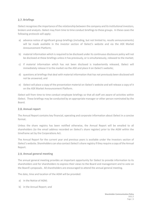# 2.7. Briefings

iSelect recognises the importance of the relationship between the company and its institutional investors, brokers and analysts. iSelect may from time to time conduct briefings to these groups. In these cases the following protocols will apply:

- a) advance notice of significant group briefings (including, but not limited to, results announcements) will be made available in the investor section of iSelect's website and via the ASX Market Announcement Platform;
- b) material information which is required to be disclosed under its continuous disclosure policy will not be disclosed at these briefings unless it has previously, or is simultaneously, released to the market;
- c) if material information which has not been disclosed is inadvertently released, iSelect will immediately release it to the market via the ASX and place it on iSelect's website;
- d) questions at briefings that deal with material information that has not previously been disclosed will not be answered; and
- e) iSelect will place a copy of the presentation material on iSelect's website and will release a copy of it on the ASX Market Announcement Platform.

iSelect will from time to time conduct employee briefings so that all staff are aware of activities within iSelect. These briefings may be conducted by an appropriate manager or other person nominated by the Board.

# 2.8. Annual report

The Annual Report contains key financial, operating and corporate information about iSelect in a concise format.

Unless the share registry has been notified otherwise, the Annual Report will be emailed to all shareholders (to the email address recorded on iSelect's share register) prior to the AGM within the timeframe set by the Corporations Act.

The Annual Report for the current year and previous years is available under the Investors section of iSelect's website. Shareholders can also contact iSelect's share registry if they require a copy of the Annual Report.

# **Annual general meeting**

The annual general meeting provides an important opportunity for iSelect to provide information to its shareholders and for shareholders to express their views to the Board and management and to vote on the Board's proposals. All shareholders are encouraged to attend the annual general meeting.

The date, time and location of the AGM will be provided:

- a) in the Notice of AGM;
- b) in the Annual Report; and